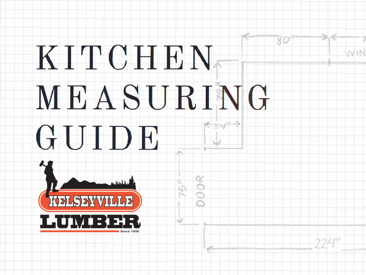# KITCHEN. MEASURING

dad

## GUIDE



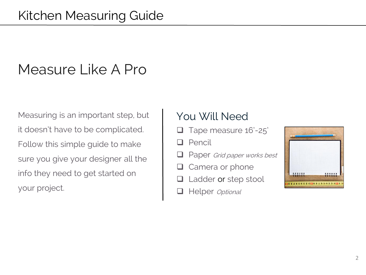## Measure Like A Pro

Measuring is an important step, but it doesn't have to be complicated. Follow this simple guide to make sure you give your designer all the info they need to get started on your project.

### You Will Need

- Tape measure 16'-25'
- Pencil l 1
- Paper Grid paper works best
- Camera or phone
- Ladder or step stool
- Helper Optional  $\Box$

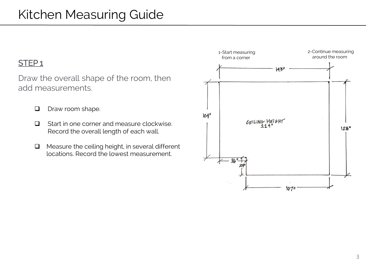#### STEP<sub>1</sub>

Draw the overall shape of the room, then add measurements.

- $\Box$ Draw room shape.
- Start in one corner and measure clockwise.  $\Box$ Record the overall length of each wall.
- Measure the ceiling height, in several different  $\Box$ locations. Record the lowest measurement.

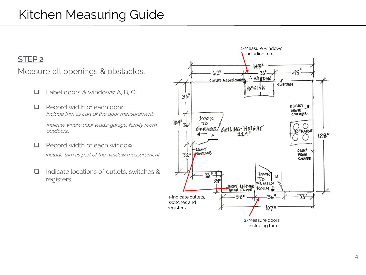#### STEP<sub>2</sub>

#### Measure all openings & obstacles.

- Label doors & windows: A. B. C.  $\Box$
- $\Box$ Record width of each door Include trim as part of the door measurement.

Indicate where door leads: garage, family room, outdoors....

- Record width of each window.  $\Box$ Include trim as part of the window measurement.
- Indicate locations of outlets, switches & ❏ registers.

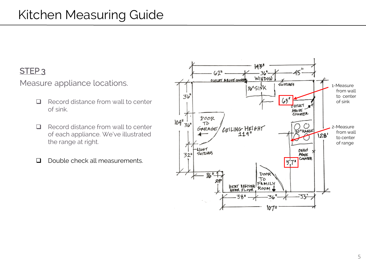#### STEP<sub>3</sub>

Measure appliance locations.

- $\Box$ Record distance from wall to center of sink.
- Record distance from wall to center  $\Box$ of each appliance. We've illustrated the range at right.
- Double check all measurements.  $\Box$

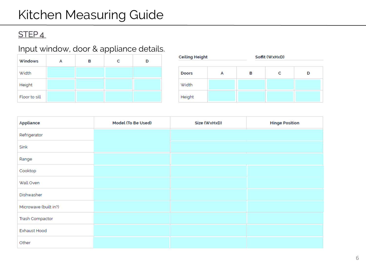### Kitchen Measuring Guide

#### STEP<sub>4</sub>

#### Input window, door & appliance details.

| Windows       | А | в | c | D |
|---------------|---|---|---|---|
| Width         |   |   |   |   |
| Height        |   |   |   |   |
| Floor to sill |   |   |   |   |

| <b>Ceiling Height</b> |  | Soffit (WxHxD) |   |   |
|-----------------------|--|----------------|---|---|
| <b>Doors</b>          |  | в              | c | D |
| Width                 |  |                |   |   |
| Height                |  |                |   |   |

| Appliance             | Model (To Be Used) | Size (WxHxD) | <b>Hinge Position</b> |
|-----------------------|--------------------|--------------|-----------------------|
| Refrigerator          |                    |              |                       |
| Sink                  |                    |              |                       |
| Range                 |                    |              |                       |
| Cooktop               |                    |              |                       |
| Wall Oven             |                    |              |                       |
| Dishwasher            |                    |              |                       |
| Microwave (built in?) |                    |              |                       |
| Trash Compactor       |                    |              |                       |
| Exhaust Hood          |                    |              |                       |
| Other                 |                    |              |                       |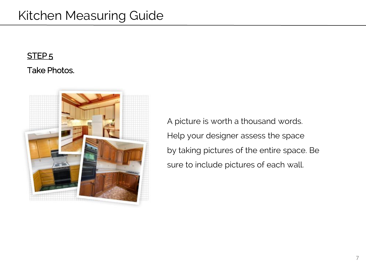#### STEP<sub>5</sub>

#### **Take Photos.**



A picture is worth a thousand words. Help your designer assess the space by taking pictures of the entire space. Be sure to include pictures of each wall.